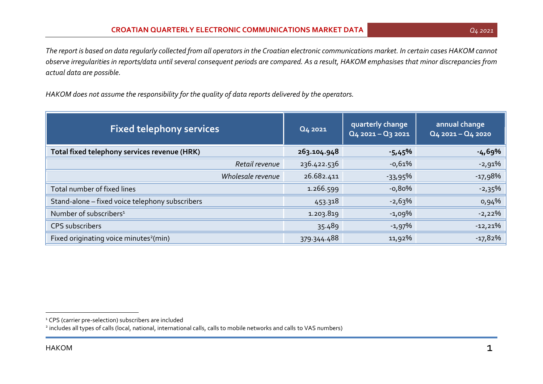*The report is based on data regularly collected from all operators in the Croatian electronic communications market. In certain cases HAKOM cannot observe irregularities in reports/data until several consequent periods are compared. As a result, HAKOM emphasises that minor discrepancies from actual data are possible.*

*HAKOM does not assume the responsibility for the quality of data reports delivered by the operators.*

| <b>Fixed telephony services</b>                    | Q4 2021     | quarterly change<br>$Q4$ 2021 - $Q3$ 2021 | annual change<br>$Q4$ 2021 - $Q4$ 2020 |
|----------------------------------------------------|-------------|-------------------------------------------|----------------------------------------|
| Total fixed telephony services revenue (HRK)       | 263.104.948 | $-5,45\%$                                 | -4,69%                                 |
| Retail revenue                                     | 236.422.536 | $-0,61%$                                  | $-2,91\%$                              |
| Wholesale revenue                                  | 26.682.411  | $-33,95\%$                                | $-17,98%$                              |
| Total number of fixed lines                        | 1.266.599   | -0,80%                                    | $-2,35\%$                              |
| Stand-alone - fixed voice telephony subscribers    | 453.318     | $-2,63\%$                                 | $0.94\%$                               |
| Number of subscribers <sup>1</sup>                 | 1.203.819   | $-1,09\%$                                 | $-2,22%$                               |
| CPS subscribers                                    | 35.489      | $-1,97\%$                                 | $-12,21%$                              |
| Fixed originating voice minutes <sup>2</sup> (min) | 379.344.488 | 11,92%                                    | $-17,82%$                              |

2 includes all types of calls (local, national, international calls, calls to mobile networks and calls to VAS numbers)

<sup>&</sup>lt;sup>1</sup> CPS (carrier pre-selection) subscribers are included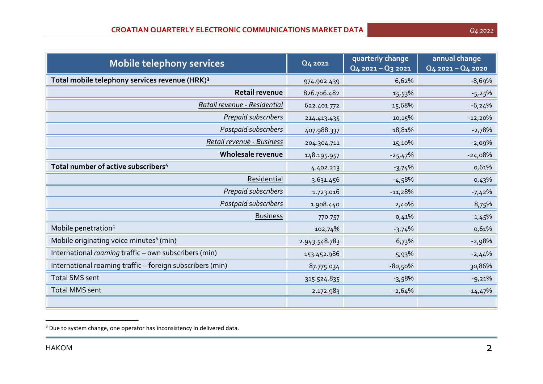| Mobile telephony services                 |                | Q4 2021     | quarterly change<br>$Q4$ 2021 – $Q3$ 2021 | annual change<br>$Q4$ 2021 - $Q4$ 2020 |
|-------------------------------------------|----------------|-------------|-------------------------------------------|----------------------------------------|
| phony services revenue (HRK) <sup>3</sup> |                | 974.902.439 | 6,62%                                     | -8,69%                                 |
|                                           | Retail revenue | 826.706.482 | 15,53%                                    | $-5,25%$                               |
|                                           |                |             |                                           |                                        |

| Total mobile telephony services revenue (HRK) <sup>3</sup> | 974.902.439   | 6,62%     | $-8,69%$  |
|------------------------------------------------------------|---------------|-----------|-----------|
| Retail revenue                                             | 826.706.482   | 15,53%    | $-5,25%$  |
| Ratail revenue - Residential                               | 622.401.772   | 15,68%    | $-6,24%$  |
| Prepaid subscribers                                        | 214.413.435   | 10,15%    | $-12,20%$ |
| Postpaid subscribers                                       | 407.988.337   | 18,81%    | $-2,78%$  |
| Retail revenue - Business                                  | 204.304.711   | 15,10%    | $-2,09%$  |
| Wholesale revenue                                          | 148.195.957   | $-25,47%$ | $-24,08%$ |
| Total number of active subscribers <sup>4</sup>            | 4.402.213     | $-3,74%$  | 0,61%     |
| Residential                                                | 3.631.456     | $-4,58%$  | 0,43%     |
| Prepaid subscribers                                        | 1.723.016     | $-11,28%$ | $-7,42\%$ |
| Postpaid subscribers                                       | 1.908.440     | 2,40%     | 8,75%     |
| <b>Business</b>                                            | 770.757       | 0,41%     | 1,45%     |
| Mobile penetration <sup>5</sup>                            | 102,74%       | $-3,74%$  | 0,61%     |
| Mobile originating voice minutes <sup>6</sup> (min)        | 2.943.548.783 | 6,73%     | $-2,98%$  |
| International roaming traffic - own subscribers (min)      | 153.452.986   | 5,93%     | $-2,44%$  |
| International roaming traffic - foreign subscribers (min)  | 87.775.034    | $-80,50%$ | 30,86%    |
| <b>Total SMS sent</b>                                      | 315.524.835   | $-3,58%$  | $-9,21%$  |
| <b>Total MMS sent</b>                                      | 2.172.983     | $-2,64%$  | $-14,47%$ |
|                                                            |               |           |           |

<sup>&</sup>lt;sup>3</sup> Due to system change, one operator has inconsistency in delivered data.

1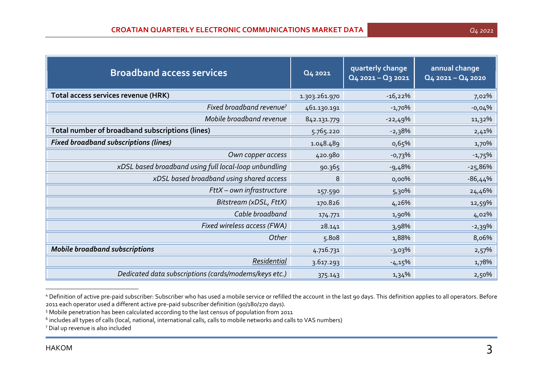| <b>Broadband access services</b>                      | Q4 2021       | quarterly change<br>$Q4$ 2021 - $Q3$ 2021 | annual change<br>$Q_4$ 2021 - $Q_4$ 2020 |
|-------------------------------------------------------|---------------|-------------------------------------------|------------------------------------------|
| Total access services revenue (HRK)                   | 1.303.261.970 | $-16,22%$                                 | 7,02%                                    |
| Fixed broadband revenue <sup>7</sup>                  | 461.130.191   | $-1,70%$                                  | $-0,04%$                                 |
| Mobile broadband revenue                              | 842.131.779   | $-22,49%$                                 | 11,32%                                   |
| Total number of broadband subscriptions (lines)       | 5.765.220     | $-2,38%$                                  | 2,41%                                    |
| <b>Fixed broadband subscriptions (lines)</b>          | 1.048.489     | 0,65%                                     | 1,70%                                    |
| Own copper access                                     | 420.980       | $-0,73%$                                  | $-1,75%$                                 |
| xDSL based broadband using full local-loop unbundling | 90.365        | $-9,48%$                                  | $-25,86%$                                |
| xDSL based broadband using shared access              | 8             | $0,00\%$                                  | $-86,44%$                                |
| FttX - own infrastructure                             | 157.590       | 5,30%                                     | 24,46%                                   |
| Bitstream (xDSL, FttX)                                | 170.826       | 4,26%                                     | 12,59%                                   |
| Cable broadband                                       | 174.771       | 1,90%                                     | 4,02%                                    |
| Fixed wireless access (FWA)                           | 28.141        | 3,98%                                     | $-2,39%$                                 |
| Other                                                 | 5.808         | 1,88%                                     | 8,06%                                    |
| <b>Mobile broadband subscriptions</b>                 | 4.716.731     | $-3,03\%$                                 | 2,57%                                    |
| Residential                                           | 3.617.293     | $-4,15%$                                  | 1,78%                                    |
| Dedicated data subscriptions (cards/modems/keys etc.) | 375.143       | 1,34%                                     | 2,50%                                    |

<sup>4</sup> Definition of active pre-paid subscriber: Subscriber who has used a mobile service or refilled the account in the last 90 days. This definition applies to all operators. Before 2011 each operator used a different active pre-paid subscriber definition (90/180/270 days).

<sup>5</sup> Mobile penetration has been calculated according to the last census of population from 2011

 $^6$  includes all types of calls (local, national, international calls, calls to mobile networks and calls to VAS numbers)

<sup>7</sup> Dial up revenue is also included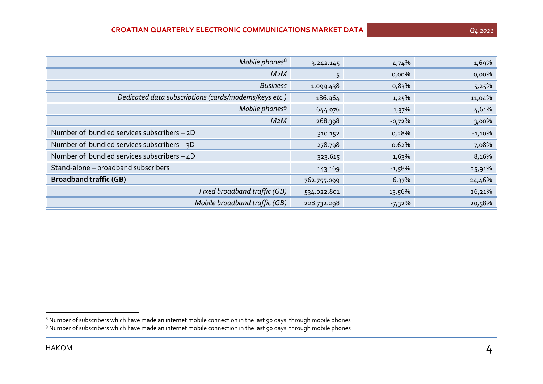| Mobile phones <sup>8</sup>                            | 3.242.145   | $-4,74%$  | 1,69%     |
|-------------------------------------------------------|-------------|-----------|-----------|
| M <sub>2</sub> M                                      | 5           | $0,00\%$  | 0,00%     |
| <b>Business</b>                                       | 1.099.438   | 0,83%     | 5,25%     |
| Dedicated data subscriptions (cards/modems/keys etc.) | 186.964     | 1,25%     | 11,04%    |
| Mobile phones <sup>9</sup>                            | 644.076     | $1,37\%$  | 4,61%     |
| M <sub>2</sub> M                                      | 268.398     | $-0,72%$  | 3,00%     |
| Number of bundled services subscribers - 2D           | 310.152     | 0,28%     | $-1,10\%$ |
| Number of bundled services subscribers - 3D           | 278.798     | 0,62%     | $-7,08%$  |
| Number of bundled services subscribers $-4D$          | 323.615     | 1,63%     | 8,16%     |
| Stand-alone - broadband subscribers                   | 143.169     | $-1,58\%$ | 25,91%    |
| <b>Broadband traffic (GB)</b>                         | 762.755.099 | 6,37%     | 24,46%    |
| Fixed broadband traffic (GB)                          | 534.022.801 | 13,56%    | 26,21%    |
| Mobile broadband traffic (GB)                         | 228.732.298 | $-7,32\%$ | 20,58%    |

 $^8$  Number of subscribers which have made an internet mobile connection in the last 90 days  $\,$  through mobile phones

<sup>9</sup> Number of subscribers which have made an internet mobile connection in the last 90 days through mobile phones